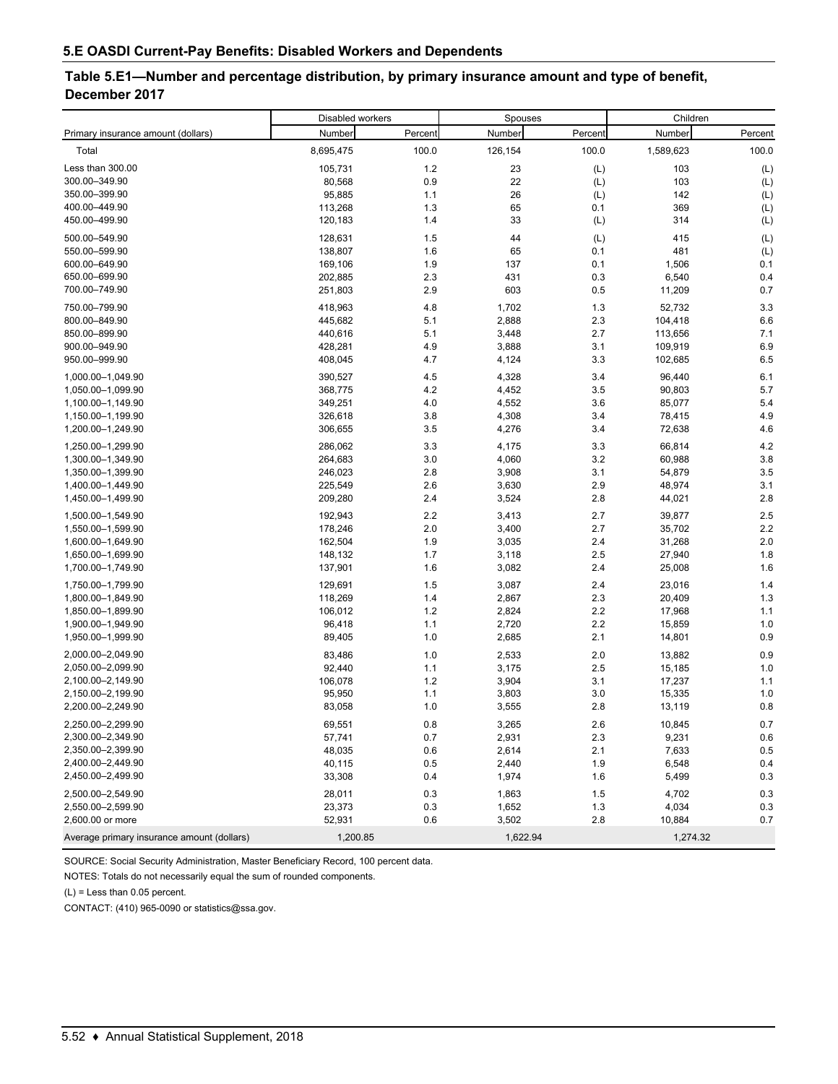## **Table 5.E1—Number and percentage distribution, by primary insurance amount and type of benefit, December 2017**

|                                            | Disabled workers |         | Spouses  |         | Children  |         |
|--------------------------------------------|------------------|---------|----------|---------|-----------|---------|
| Primary insurance amount (dollars)         | Number           | Percent | Number   | Percent | Number    | Percent |
| Total                                      | 8,695,475        | 100.0   | 126,154  | 100.0   | 1,589,623 | 100.0   |
| Less than 300.00                           | 105,731          | 1.2     | 23       | (L)     | 103       | (L)     |
| 300.00-349.90                              | 80,568           | 0.9     | 22       | (L)     | 103       | (L)     |
| 350.00-399.90                              | 95,885           | 1.1     | 26       | (L)     | 142       | (L)     |
| 400.00-449.90                              | 113,268          | 1.3     | 65       | 0.1     | 369       | (L)     |
| 450.00-499.90                              | 120,183          | 1.4     | 33       | (L)     | 314       | (L)     |
| 500.00-549.90                              | 128,631          | 1.5     | 44       | (L)     | 415       | (L)     |
| 550.00-599.90                              | 138,807          | 1.6     | 65       | 0.1     | 481       | (L)     |
| 600.00-649.90                              | 169,106          | 1.9     | 137      | 0.1     | 1,506     | 0.1     |
| 650.00-699.90                              | 202,885          | 2.3     | 431      | 0.3     | 6,540     | 0.4     |
| 700.00-749.90                              | 251,803          | 2.9     | 603      | 0.5     | 11,209    | 0.7     |
| 750.00-799.90                              | 418,963          | 4.8     | 1,702    | 1.3     | 52,732    | 3.3     |
| 800.00-849.90                              | 445,682          | 5.1     | 2,888    | 2.3     | 104,418   | 6.6     |
| 850.00-899.90                              | 440,616          | 5.1     | 3,448    | 2.7     | 113,656   | 7.1     |
| 900.00-949.90                              | 428,281          | 4.9     | 3,888    | 3.1     | 109,919   | 6.9     |
| 950.00-999.90                              | 408,045          | 4.7     | 4,124    | 3.3     | 102,685   | 6.5     |
| 1,000.00-1,049.90                          | 390,527          | 4.5     | 4,328    | 3.4     | 96,440    | 6.1     |
| 1,050.00-1,099.90                          | 368,775          | 4.2     | 4,452    | 3.5     | 90,803    | 5.7     |
| 1,100.00-1,149.90                          | 349,251          | 4.0     | 4,552    | 3.6     | 85,077    | 5.4     |
| 1,150.00-1,199.90                          | 326,618          | 3.8     | 4,308    | 3.4     | 78,415    | 4.9     |
| 1,200.00-1,249.90                          | 306,655          | 3.5     | 4,276    | 3.4     | 72,638    | 4.6     |
| 1,250.00-1,299.90                          | 286,062          | 3.3     | 4,175    | 3.3     | 66,814    | 4.2     |
| 1,300.00-1,349.90                          | 264,683          | 3.0     | 4,060    | 3.2     | 60,988    | 3.8     |
| 1,350.00-1,399.90                          | 246,023          | 2.8     | 3,908    | 3.1     | 54,879    | 3.5     |
| 1,400.00-1,449.90                          | 225,549          | 2.6     | 3,630    | 2.9     | 48,974    | 3.1     |
| 1,450.00-1,499.90                          | 209,280          | 2.4     | 3,524    | 2.8     | 44,021    | 2.8     |
| 1,500.00-1,549.90                          | 192,943          | 2.2     | 3,413    | 2.7     | 39,877    | $2.5\,$ |
| 1,550.00-1,599.90                          | 178,246          | 2.0     | 3,400    | 2.7     | 35,702    | 2.2     |
| 1,600.00-1,649.90                          | 162,504          | 1.9     | 3,035    | 2.4     | 31,268    | 2.0     |
| 1,650.00-1,699.90                          | 148,132          | 1.7     | 3,118    | 2.5     | 27,940    | 1.8     |
| 1,700.00-1,749.90                          | 137,901          | 1.6     | 3,082    | 2.4     | 25,008    | 1.6     |
| 1,750.00-1,799.90                          | 129,691          | 1.5     | 3,087    | 2.4     | 23,016    | 1.4     |
| 1,800.00-1,849.90                          | 118,269          | 1.4     | 2,867    | 2.3     | 20,409    | 1.3     |
| 1,850.00-1,899.90                          | 106,012          | 1.2     | 2,824    | 2.2     | 17,968    | 1.1     |
| 1,900.00-1,949.90                          | 96,418           | 1.1     | 2,720    | 2.2     | 15,859    | 1.0     |
| 1,950.00-1,999.90                          | 89,405           | 1.0     | 2,685    | 2.1     | 14,801    | 0.9     |
| 2,000.00-2,049.90                          | 83,486           | 1.0     | 2,533    | 2.0     | 13,882    | 0.9     |
| 2,050.00-2,099.90                          | 92,440           | 1.1     | 3,175    | 2.5     | 15,185    | 1.0     |
| 2,100.00-2,149.90                          | 106,078          | $1.2$   | 3,904    | 3.1     | 17,237    | 1.1     |
| 2,150.00-2,199.90                          | 95,950           | 1.1     | 3,803    | 3.0     | 15,335    | 1.0     |
| 2,200.00-2,249.90                          | 83,058           | 1.0     | 3,555    | 2.8     | 13,119    | 0.8     |
| 2,250.00-2,299.90                          | 69,551           | 0.8     | 3,265    | 2.6     | 10,845    | $0.7\,$ |
| 2,300.00-2,349.90                          | 57,741           | 0.7     | 2,931    | 2.3     | 9,231     | 0.6     |
| 2,350.00-2,399.90                          | 48,035           | 0.6     | 2,614    | 2.1     | 7,633     | 0.5     |
| 2,400.00-2,449.90                          | 40,115           | 0.5     | 2,440    | 1.9     | 6,548     | 0.4     |
| 2,450.00-2,499.90                          | 33,308           | 0.4     | 1,974    | 1.6     | 5,499     | 0.3     |
| 2,500.00-2,549.90                          | 28,011           | 0.3     | 1,863    | 1.5     | 4,702     | 0.3     |
| 2,550.00-2,599.90                          | 23,373           | 0.3     | 1,652    | 1.3     | 4,034     | 0.3     |
| 2,600.00 or more                           | 52,931           | 0.6     | 3,502    | 2.8     | 10,884    | 0.7     |
| Average primary insurance amount (dollars) | 1,200.85         |         | 1,622.94 |         | 1,274.32  |         |

SOURCE: Social Security Administration, Master Beneficiary Record, 100 percent data.

NOTES: Totals do not necessarily equal the sum of rounded components.

(L) = Less than 0.05 percent.

CONTACT: (410) 965-0090 or statistics@ssa.gov.